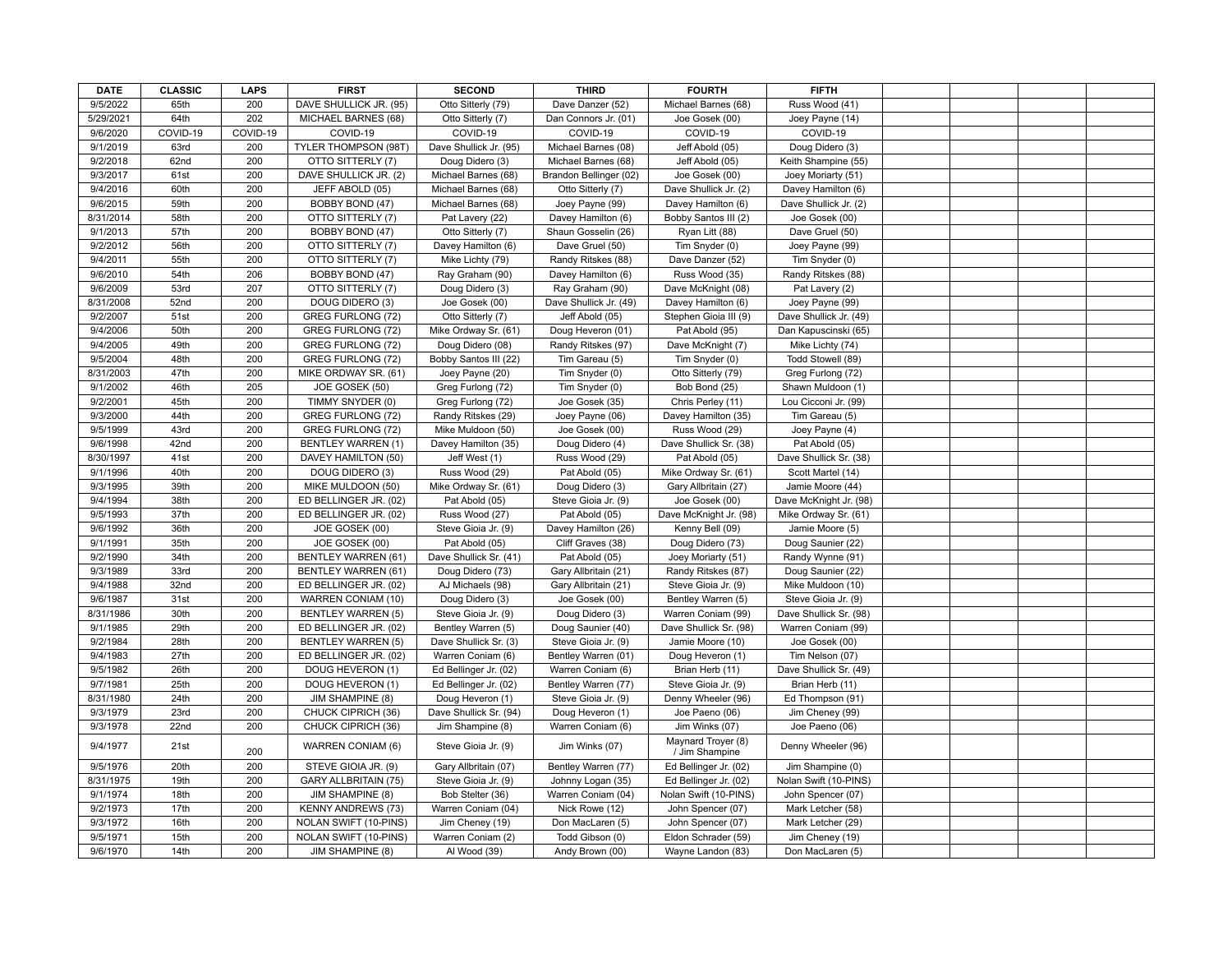| <b>DATE</b>          | <b>CLASSIC</b> | <b>LAPS</b> | <b>FIRST</b>                                         | <b>SECOND</b>          | <b>THIRD</b>                         | <b>FOURTH</b>                           | <b>FIFTH</b>                           |  |  |
|----------------------|----------------|-------------|------------------------------------------------------|------------------------|--------------------------------------|-----------------------------------------|----------------------------------------|--|--|
| 9/5/2022             | 65th           | 200         | DAVE SHULLICK JR. (95)                               | Otto Sitterly (79)     | Dave Danzer (52)                     | Michael Barnes (68)                     | Russ Wood (41)                         |  |  |
| 5/29/2021            | 64th           | 202         | MICHAEL BARNES (68)                                  | Otto Sitterly (7)      | Dan Connors Jr. (01)                 | Joe Gosek (00)                          | Joey Payne (14)                        |  |  |
| 9/6/2020             | COVID-19       | COVID-19    | COVID-19                                             | COVID-19               | COVID-19                             | COVID-19                                | COVID-19                               |  |  |
| 9/1/2019             | 63rd           | 200         | TYLER THOMPSON (98T)                                 | Dave Shullick Jr. (95) | Michael Barnes (08)                  | Jeff Abold (05)                         | Doug Didero (3)                        |  |  |
| 9/2/2018             | 62nd           | 200         | OTTO SITTERLY (7)                                    | Doug Didero (3)        | Michael Barnes (68)                  | Jeff Abold (05)                         | Keith Shampine (55)                    |  |  |
| 9/3/2017             | 61st           | 200         | DAVE SHULLICK JR. (2)                                | Michael Barnes (68)    | Brandon Bellinger (02)               | Joe Gosek (00)                          | Joey Moriarty (51)                     |  |  |
| 9/4/2016             | 60th           | 200         | JEFF ABOLD (05)                                      | Michael Barnes (68)    | Otto Sitterly (7)                    | Dave Shullick Jr. (2)                   | Davey Hamilton (6)                     |  |  |
| 9/6/2015             | 59th           | 200         | BOBBY BOND (47)                                      | Michael Barnes (68)    | Joey Payne (99)                      | Davey Hamilton (6)                      | Dave Shullick Jr. (2)                  |  |  |
| 8/31/2014            | 58th           | 200         | OTTO SITTERLY (7)                                    | Pat Lavery (22)        | Davey Hamilton (6)                   | Bobby Santos III (2)                    | Joe Gosek (00)                         |  |  |
| 9/1/2013             | 57th           | 200         | BOBBY BOND (47)                                      | Otto Sitterly (7)      | Shaun Gosselin (26)                  | Ryan Litt (88)                          | Dave Gruel (50)                        |  |  |
| 9/2/2012             | 56th           | 200         | OTTO SITTERLY (7)                                    | Davey Hamilton (6)     | Dave Gruel (50)                      | Tim Snyder (0)                          | Joey Payne (99)                        |  |  |
| 9/4/2011             | 55th           | 200         | OTTO SITTERLY (7)                                    | Mike Lichty (79)       | Randy Ritskes (88)                   | Dave Danzer (52)                        | Tim Snyder (0)                         |  |  |
| 9/6/2010             | 54th           | 206         | BOBBY BOND (47)                                      | Ray Graham (90)        | Davey Hamilton (6)                   | Russ Wood (35)                          | Randy Ritskes (88)                     |  |  |
| 9/6/2009             | 53rd           | 207         | OTTO SITTERLY (7)                                    | Doug Didero (3)        | Ray Graham (90)                      | Dave McKnight (08)                      | Pat Lavery (2)                         |  |  |
| 8/31/2008            | 52nd           | 200         | DOUG DIDERO (3)                                      | Joe Gosek (00)         | Dave Shullick Jr. (49)               | Davey Hamilton (6)                      | Joey Payne (99)                        |  |  |
| 9/2/2007             | 51st           | 200         | GREG FURLONG (72)                                    | Otto Sitterly (7)      | Jeff Abold (05)                      | Stephen Gioia III (9)                   | Dave Shullick Jr. (49)                 |  |  |
| 9/4/2006             | 50th           | 200         | <b>GREG FURLONG (72)</b>                             | Mike Ordway Sr. (61)   | Doug Heveron (01)                    | Pat Abold (95)                          | Dan Kapuscinski (65)                   |  |  |
| 9/4/2005             | 49th           | 200         | GREG FURLONG (72)                                    | Doug Didero (08)       | Randy Ritskes (97)                   | Dave McKnight (7)                       | Mike Lichty (74)                       |  |  |
| 9/5/2004             | 48th           | 200         | GREG FURLONG (72)                                    | Bobby Santos III (22)  | Tim Gareau (5)                       | Tim Snyder (0)                          | Todd Stowell (89)                      |  |  |
| 8/31/2003            | 47th           | 200         | MIKE ORDWAY SR. (61)                                 | Joey Payne (20)        | Tim Snyder (0)                       | Otto Sitterly (79)                      | Greg Furlong (72)                      |  |  |
| 9/1/2002             | 46th           | 205         | JOE GOSEK (50)                                       | Greg Furlong (72)      | Tim Snyder (0)                       | Bob Bond (25)                           | Shawn Muldoon (1)                      |  |  |
| 9/2/2001             | 45th           | 200         | TIMMY SNYDER (0)                                     | Greg Furlong (72)      | Joe Gosek (35)                       | Chris Perley (11)                       | Lou Cicconi Jr. (99)                   |  |  |
| 9/3/2000             | 44th           | 200         | GREG FURLONG (72)                                    | Randy Ritskes (29)     | Joey Payne (06)                      | Davey Hamilton (35)                     | Tim Gareau (5)                         |  |  |
| 9/5/1999             | 43rd           | 200         | GREG FURLONG (72)                                    | Mike Muldoon (50)      | Joe Gosek (00)                       | Russ Wood (29)                          | Joey Payne (4)                         |  |  |
| 9/6/1998             | 42nd           | 200         | <b>BENTLEY WARREN (1)</b>                            | Davey Hamilton (35)    | Doug Didero (4)                      | Dave Shullick Sr. (38)                  | Pat Abold (05)                         |  |  |
| 8/30/1997            | 41st           | 200         | DAVEY HAMILTON (50)                                  | Jeff West (1)          | Russ Wood (29)                       | Pat Abold (05)                          | Dave Shullick Sr. (38)                 |  |  |
| 9/1/1996             | 40th           | 200         | DOUG DIDERO (3)                                      | Russ Wood (29)         | Pat Abold (05)                       | Mike Ordway Sr. (61)                    | Scott Martel (14)                      |  |  |
| 9/3/1995             | 39th           | 200         | MIKE MULDOON (50)                                    | Mike Ordway Sr. (61)   | Doug Didero (3)                      | Gary Allbritain (27)                    | Jamie Moore (44)                       |  |  |
| 9/4/1994             | 38th           | 200         | ED BELLINGER JR. (02)                                | Pat Abold (05)         | Steve Gioia Jr. (9)                  | Joe Gosek (00)                          | Dave McKnight Jr. (98)                 |  |  |
| 9/5/1993             | 37th           | 200         | ED BELLINGER JR. (02)                                | Russ Wood (27)         | Pat Abold (05)                       | Dave McKnight Jr. (98)                  | Mike Ordway Sr. (61)                   |  |  |
| 9/6/1992             | 36th           | 200         | JOE GOSEK (00)                                       | Steve Gioia Jr. (9)    | Davey Hamilton (26)                  | Kenny Bell (09)                         | Jamie Moore (5)                        |  |  |
| 9/1/1991             | 35th           | 200         | JOE GOSEK (00)                                       | Pat Abold (05)         | Cliff Graves (38)                    | Doug Didero (73)                        | Doug Saunier (22)                      |  |  |
| 9/2/1990             | 34th           | 200         | <b>BENTLEY WARREN (61)</b>                           | Dave Shullick Sr. (41) | Pat Abold (05)                       | Joey Moriarty (51)                      | Randy Wynne (91)                       |  |  |
| 9/3/1989             | 33rd           | 200         | <b>BENTLEY WARREN (61)</b>                           | Doug Didero (73)       | Gary Allbritain (21)                 | Randy Ritskes (87)                      | Doug Saunier (22)                      |  |  |
| 9/4/1988             | 32nd           | 200         | ED BELLINGER JR. (02)                                | AJ Michaels (98)       | Gary Allbritain (21)                 | Steve Gioia Jr. (9)                     | Mike Muldoon (10)                      |  |  |
| 9/6/1987             | 31st           | 200         | WARREN CONIAM (10)                                   | Doug Didero (3)        | Joe Gosek (00)                       | Bentley Warren (5)                      | Steve Gioia Jr. (9)                    |  |  |
| 8/31/1986            | 30th           | 200         | <b>BENTLEY WARREN (5)</b>                            | Steve Gioia Jr. (9)    | Doug Didero (3)                      | Warren Coniam (99)                      | Dave Shullick Sr. (98)                 |  |  |
| 9/1/1985             | 29th           | 200         | ED BELLINGER JR. (02)                                | Bentley Warren (5)     | Doug Saunier (40)                    | Dave Shullick Sr. (98)                  | Warren Coniam (99)                     |  |  |
| 9/2/1984             | 28th           | 200         | <b>BENTLEY WARREN (5)</b>                            | Dave Shullick Sr. (3)  | Steve Gioia Jr. (9)                  | Jamie Moore (10)                        | Joe Gosek (00)                         |  |  |
| 9/4/1983             | 27th           | 200         | ED BELLINGER JR. (02)                                | Warren Coniam (6)      | Bentley Warren (01)                  | Doug Heveron (1)                        | Tim Nelson (07)                        |  |  |
| 9/5/1982             | 26th           | 200         | DOUG HEVERON (1)                                     | Ed Bellinger Jr. (02)  | Warren Coniam (6)                    | Brian Herb (11)                         | Dave Shullick Sr. (49)                 |  |  |
| 9/7/1981             | 25th           | 200         | DOUG HEVERON (1)                                     | Ed Bellinger Jr. (02)  | Bentley Warren (77)                  | Steve Gioia Jr. (9)                     | Brian Herb (11)                        |  |  |
| 8/31/1980            | 24th           | 200         | JIM SHAMPINE (8)                                     | Doug Heveron (1)       | Steve Gioia Jr. (9)                  | Denny Wheeler (96)                      | Ed Thompson (91)                       |  |  |
| 9/3/1979             | 23rd           | 200         | CHUCK CIPRICH (36)                                   | Dave Shullick Sr. (94) | Doug Heveron (1)                     | Joe Paeno (06)                          | Jim Cheney (99)                        |  |  |
| 9/3/1978             | 22nd           | 200         | CHUCK CIPRICH (36)                                   | Jim Shampine (8)       | Warren Coniam (6)                    | Jim Winks (07)                          | Joe Paeno (06)                         |  |  |
| 9/4/1977             | 21st           | 200         | WARREN CONIAM (6)                                    | Steve Gioia Jr. (9)    | Jim Winks (07)                       | Maynard Troyer (8)                      | Denny Wheeler (96)                     |  |  |
| 9/5/1976             | 20th           | 200         | STEVE GIOIA JR. (9)                                  | Gary Allbritain (07)   | Bentley Warren (77)                  | / Jim Shampine<br>Ed Bellinger Jr. (02) | Jim Shampine (0)                       |  |  |
| 8/31/1975            | 19th           | 200         | <b>GARY ALLBRITAIN (75)</b>                          |                        | Johnny Logan (35)                    | Ed Bellinger Jr. (02)                   | Nolan Swift (10-PINS)                  |  |  |
|                      |                |             |                                                      | Steve Gioia Jr. (9)    |                                      |                                         |                                        |  |  |
| 9/1/1974<br>9/2/1973 | 18th<br>17th   | 200<br>200  | <b>JIM SHAMPINE (8)</b><br><b>KENNY ANDREWS (73)</b> | Bob Stelter (36)       | Warren Coniam (04)<br>Nick Rowe (12) | Nolan Swift (10-PINS)                   | John Spencer (07)<br>Mark Letcher (58) |  |  |
| 9/3/1972             | 16th           | 200         |                                                      | Warren Coniam (04)     |                                      | John Spencer (07)                       |                                        |  |  |
| 9/5/1971             | 15th           | 200         | NOLAN SWIFT (10-PINS)                                | Jim Cheney (19)        | Don MacLaren (5)                     | John Spencer (07)                       | Mark Letcher (29)                      |  |  |
|                      |                | 200         | NOLAN SWIFT (10-PINS)                                | Warren Coniam (2)      | Todd Gibson (0)                      | Eldon Schrader (59)                     | Jim Cheney (19)                        |  |  |
| 9/6/1970             | 14th           |             | <b>JIM SHAMPINE (8)</b>                              | Al Wood (39)           | Andy Brown (00)                      | Wayne Landon (83)                       | Don MacLaren (5)                       |  |  |